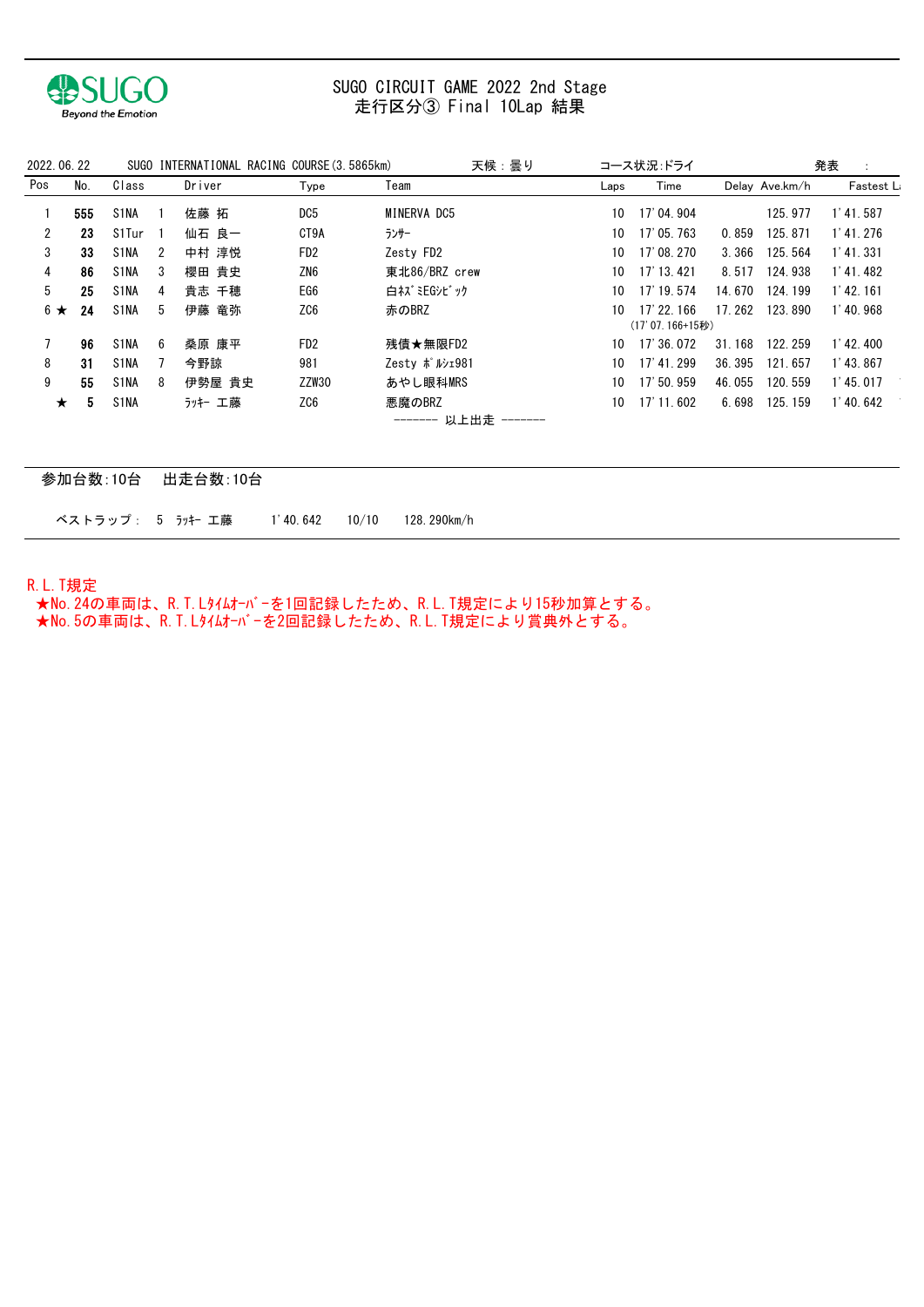

## 走行区分③ Final 10Lap 結果 SUGO CIRCUIT GAME 2022 2nd Stage

| 2022, 06, 22 |     |                   |   |         | SUGO INTERNATIONAL RACING COURSE (3.5865km) | 天候:曇り                              |      | コース状況 ドライ                        |        |                | 発表                     |
|--------------|-----|-------------------|---|---------|---------------------------------------------|------------------------------------|------|----------------------------------|--------|----------------|------------------------|
| Pos          | No. | Class             |   | Driver  | Type                                        | Team                               | Laps | Time                             |        | Delay Ave.km/h | Fastest L <sub>i</sub> |
|              | 555 | S1NA              |   | 佐藤 拓    | DC5                                         | MINERVA DC5                        | 10   | 17' 04.904                       |        | 125.977        | $1'$ 41, 587           |
| 2            | 23  | S1Tur             |   | 仙石 良一   | CT9A                                        | ランサー                               | 10   | 17' 05, 763                      | 0.859  | 125.871        | $1'$ 41, 276           |
| 3            | 33  | S1NA              | 2 | 中村 淳悦   | FD <sub>2</sub>                             | Zesty FD2                          | 10   | 17' 08, 270                      | 3.366  | 125.564        | $1'$ 41 331            |
| 4            | 86  | S1NA              | 3 | 櫻田 貴史   | ZN6                                         | 東北86/BRZ crew                      | 10   | 17' 13, 421                      | 8.517  | 124.938        | $1'$ 41.482            |
| 5            | 25  | S1NA              | 4 | 貴志 千穂   | EG6                                         | 白ネズミEGシビック                         | 10   | 17' 19.574                       | 14.670 | 124.199        | $1'$ 42, 161           |
| $6 \star$    | 24  | S1NA              | 5 | 伊藤 竜弥   | ZC6                                         | 赤のBRZ                              | 10   | $17'$ 22, 166<br>(17'07.166+15秒) | 17.262 | 123.890        | $1'$ 40.968            |
|              | 96  | S1NA              | 6 | 桑原 康平   | FD <sub>2</sub>                             | 残債★無限FD2                           | 10   | 17' 36, 072                      | 31.168 | 122.259        | $1'$ 42, 400           |
| 8            | 31  | S1NA              |   | 今野諒     | 981                                         | Zesty ポルシェ981                      | 10   | 17' 41, 299                      | 36.395 | 121.657        | $1'$ 43, 867           |
| 9            | 55  | S1NA              | 8 | 伊勢屋 貴史  | ZZW30                                       | あやし眼科MRS                           | 10   | 17' 50.959                       | 46.055 | 120.559        | $1'$ 45, 017           |
| $\star$      | 5   | S <sub>1</sub> NA |   | ラッキー 工藤 | ZC6                                         | 悪魔のBRZ<br>------- 以上出走<br>-------- | 10   | 17' 11.602                       | 6.698  | 125.159        | $1'$ 40, 642           |

| 参加台数:10台 出走台数:10台 |                     |             |
|-------------------|---------------------|-------------|
| ベストラップ: 5 ラッキー 工藤 | $1'$ 40.642 $10/10$ | 128.290km/h |

R.L.T規定

 ★No.24の車両は、R.T.Lタイムオーバーを1回記録したため、R.L.T規定により15秒加算とする。 ★No.5の車両は、R.T.Lタイムオーバーを2回記録したため、R.L.T規定により賞典外とする。